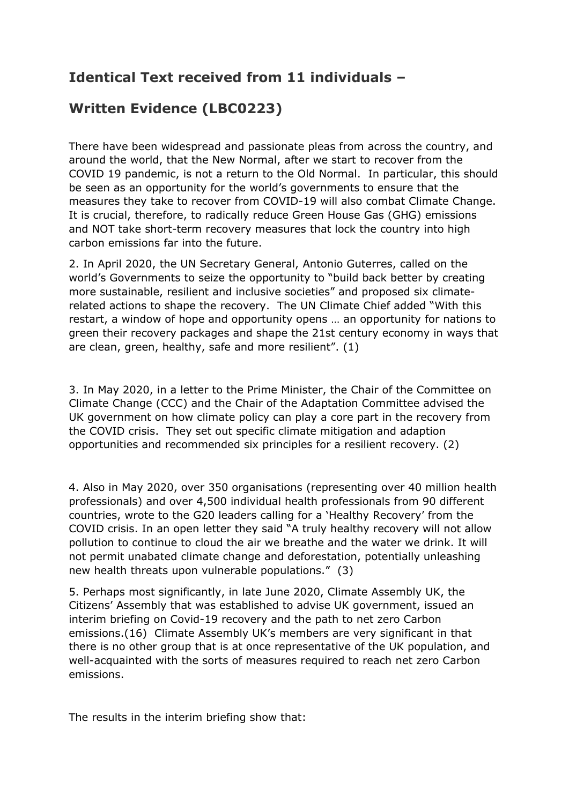## **Identical Text received from 11 individuals –**

## **Written Evidence (LBC0223)**

There have been widespread and passionate pleas from across the country, and around the world, that the New Normal, after we start to recover from the COVID 19 pandemic, is not a return to the Old Normal. In particular, this should be seen as an opportunity for the world's governments to ensure that the measures they take to recover from COVID-19 will also combat Climate Change. It is crucial, therefore, to radically reduce Green House Gas (GHG) emissions and NOT take short-term recovery measures that lock the country into high carbon emissions far into the future.

2. In April 2020, the UN Secretary General, Antonio Guterres, called on the world's Governments to seize the opportunity to "build back better by creating more sustainable, resilient and inclusive societies" and proposed six climaterelated actions to shape the recovery. The UN Climate Chief added "With this restart, a window of hope and opportunity opens … an opportunity for nations to green their recovery packages and shape the 21st century economy in ways that are clean, green, healthy, safe and more resilient". (1)

3. In May 2020, in a letter to the Prime Minister, the Chair of the Committee on Climate Change (CCC) and the Chair of the Adaptation Committee advised the UK government on how climate policy can play a core part in the recovery from the COVID crisis. They set out specific climate mitigation and adaption opportunities and recommended six principles for a resilient recovery. (2)

4. Also in May 2020, over 350 organisations (representing over 40 million health professionals) and over 4,500 individual health professionals from 90 different countries, wrote to the G20 leaders calling for a 'Healthy Recovery' from the COVID crisis. In an open letter they said "A truly healthy recovery will not allow pollution to continue to cloud the air we breathe and the water we drink. It will not permit unabated climate change and deforestation, potentially unleashing new health threats upon vulnerable populations." (3)

5. Perhaps most significantly, in late June 2020, Climate Assembly UK, the Citizens' Assembly that was established to advise UK government, issued an interim briefing on Covid-19 recovery and the path to net zero Carbon emissions.(16) Climate Assembly UK's members are very significant in that there is no other group that is at once representative of the UK population, and well-acquainted with the sorts of measures required to reach net zero Carbon emissions.

The results in the interim briefing show that: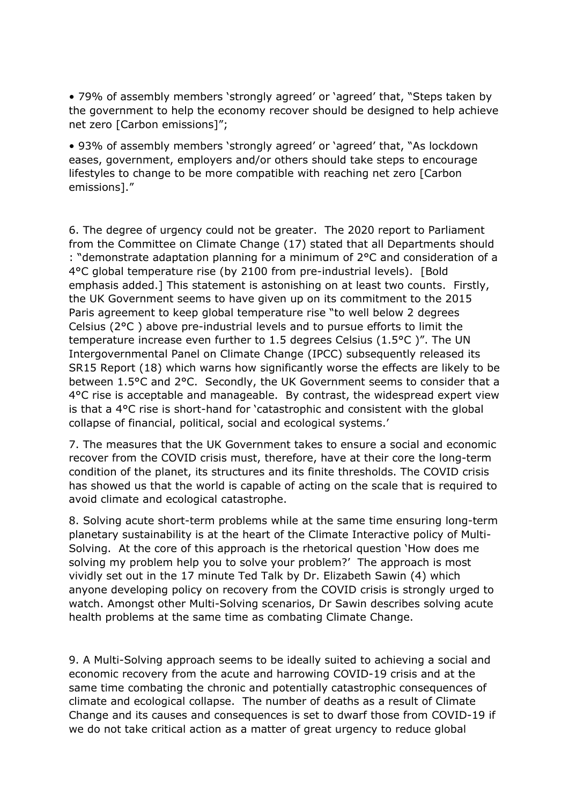• 79% of assembly members 'strongly agreed' or 'agreed' that, "Steps taken by the government to help the economy recover should be designed to help achieve net zero [Carbon emissions]";

• 93% of assembly members 'strongly agreed' or 'agreed' that, "As lockdown eases, government, employers and/or others should take steps to encourage lifestyles to change to be more compatible with reaching net zero [Carbon emissions]."

6. The degree of urgency could not be greater. The 2020 report to Parliament from the Committee on Climate Change (17) stated that all Departments should : "demonstrate adaptation planning for a minimum of 2°C and consideration of a 4°C global temperature rise (by 2100 from pre-industrial levels). [Bold emphasis added.] This statement is astonishing on at least two counts. Firstly, the UK Government seems to have given up on its commitment to the 2015 Paris agreement to keep global temperature rise "to well below 2 degrees Celsius (2°C ) above pre-industrial levels and to pursue efforts to limit the temperature increase even further to 1.5 degrees Celsius (1.5°C )". The UN Intergovernmental Panel on Climate Change (IPCC) subsequently released its SR15 Report (18) which warns how significantly worse the effects are likely to be between 1.5°C and 2°C. Secondly, the UK Government seems to consider that a 4°C rise is acceptable and manageable. By contrast, the widespread expert view is that a 4°C rise is short-hand for 'catastrophic and consistent with the global collapse of financial, political, social and ecological systems.'

7. The measures that the UK Government takes to ensure a social and economic recover from the COVID crisis must, therefore, have at their core the long-term condition of the planet, its structures and its finite thresholds. The COVID crisis has showed us that the world is capable of acting on the scale that is required to avoid climate and ecological catastrophe.

8. Solving acute short-term problems while at the same time ensuring long-term planetary sustainability is at the heart of the Climate Interactive policy of Multi-Solving. At the core of this approach is the rhetorical question 'How does me solving my problem help you to solve your problem?' The approach is most vividly set out in the 17 minute Ted Talk by Dr. Elizabeth Sawin (4) which anyone developing policy on recovery from the COVID crisis is strongly urged to watch. Amongst other Multi-Solving scenarios, Dr Sawin describes solving acute health problems at the same time as combating Climate Change.

9. A Multi-Solving approach seems to be ideally suited to achieving a social and economic recovery from the acute and harrowing COVID-19 crisis and at the same time combating the chronic and potentially catastrophic consequences of climate and ecological collapse. The number of deaths as a result of Climate Change and its causes and consequences is set to dwarf those from COVID-19 if we do not take critical action as a matter of great urgency to reduce global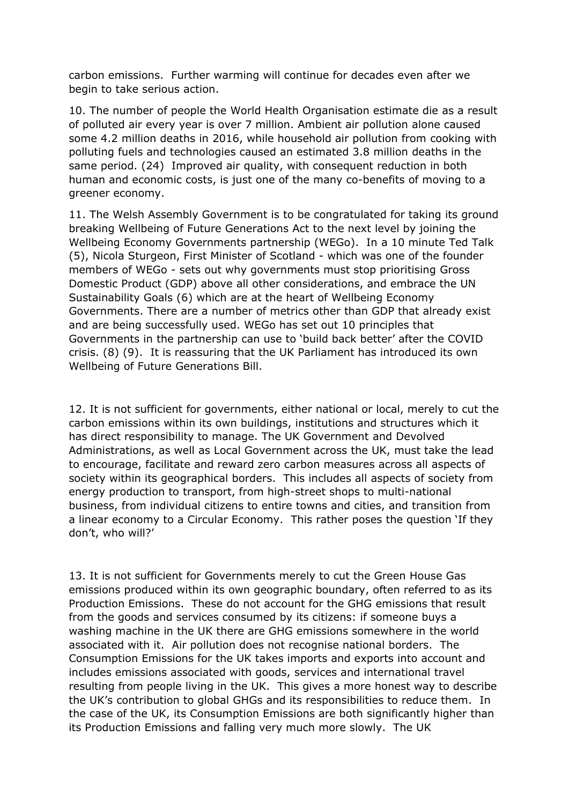carbon emissions. Further warming will continue for decades even after we begin to take serious action.

10. The number of people the World Health Organisation estimate die as a result of polluted air every year is over 7 million. Ambient air pollution alone caused some 4.2 million deaths in 2016, while household air pollution from cooking with polluting fuels and technologies caused an estimated 3.8 million deaths in the same period. (24) Improved air quality, with consequent reduction in both human and economic costs, is just one of the many co-benefits of moving to a greener economy.

11. The Welsh Assembly Government is to be congratulated for taking its ground breaking Wellbeing of Future Generations Act to the next level by joining the Wellbeing Economy Governments partnership (WEGo). In a 10 minute Ted Talk (5), Nicola Sturgeon, First Minister of Scotland - which was one of the founder members of WEGo - sets out why governments must stop prioritising Gross Domestic Product (GDP) above all other considerations, and embrace the UN Sustainability Goals (6) which are at the heart of Wellbeing Economy Governments. There are a number of metrics other than GDP that already exist and are being successfully used. WEGo has set out 10 principles that Governments in the partnership can use to 'build back better' after the COVID crisis. (8) (9). It is reassuring that the UK Parliament has introduced its own Wellbeing of Future Generations Bill.

12. It is not sufficient for governments, either national or local, merely to cut the carbon emissions within its own buildings, institutions and structures which it has direct responsibility to manage. The UK Government and Devolved Administrations, as well as Local Government across the UK, must take the lead to encourage, facilitate and reward zero carbon measures across all aspects of society within its geographical borders. This includes all aspects of society from energy production to transport, from high-street shops to multi-national business, from individual citizens to entire towns and cities, and transition from a linear economy to a Circular Economy. This rather poses the question 'If they don't, who will?'

13. It is not sufficient for Governments merely to cut the Green House Gas emissions produced within its own geographic boundary, often referred to as its Production Emissions. These do not account for the GHG emissions that result from the goods and services consumed by its citizens: if someone buys a washing machine in the UK there are GHG emissions somewhere in the world associated with it. Air pollution does not recognise national borders. The Consumption Emissions for the UK takes imports and exports into account and includes emissions associated with goods, services and international travel resulting from people living in the UK. This gives a more honest way to describe the UK's contribution to global GHGs and its responsibilities to reduce them. In the case of the UK, its Consumption Emissions are both significantly higher than its Production Emissions and falling very much more slowly. The UK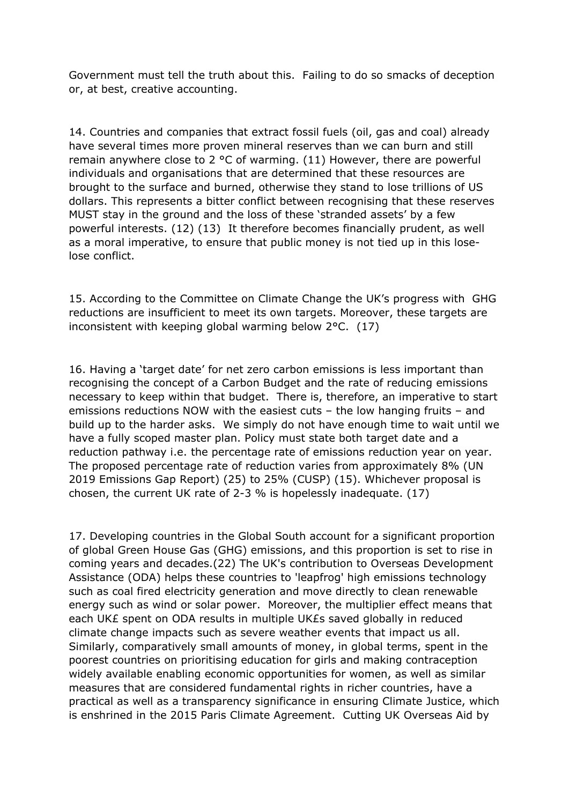Government must tell the truth about this. Failing to do so smacks of deception or, at best, creative accounting.

14. Countries and companies that extract fossil fuels (oil, gas and coal) already have several times more proven mineral reserves than we can burn and still remain anywhere close to 2  $\degree$ C of warming. (11) However, there are powerful individuals and organisations that are determined that these resources are brought to the surface and burned, otherwise they stand to lose trillions of US dollars. This represents a bitter conflict between recognising that these reserves MUST stay in the ground and the loss of these 'stranded assets' by a few powerful interests. (12) (13) It therefore becomes financially prudent, as well as a moral imperative, to ensure that public money is not tied up in this loselose conflict.

15. According to the Committee on Climate Change the UK's progress with GHG reductions are insufficient to meet its own targets. Moreover, these targets are inconsistent with keeping global warming below 2°C. (17)

16. Having a 'target date' for net zero carbon emissions is less important than recognising the concept of a Carbon Budget and the rate of reducing emissions necessary to keep within that budget. There is, therefore, an imperative to start emissions reductions NOW with the easiest cuts – the low hanging fruits – and build up to the harder asks. We simply do not have enough time to wait until we have a fully scoped master plan. Policy must state both target date and a reduction pathway i.e. the percentage rate of emissions reduction year on year. The proposed percentage rate of reduction varies from approximately 8% (UN 2019 Emissions Gap Report) (25) to 25% (CUSP) (15). Whichever proposal is chosen, the current UK rate of 2-3 % is hopelessly inadequate. (17)

17. Developing countries in the Global South account for a significant proportion of global Green House Gas (GHG) emissions, and this proportion is set to rise in coming years and decades.(22) The UK's contribution to Overseas Development Assistance (ODA) helps these countries to 'leapfrog' high emissions technology such as coal fired electricity generation and move directly to clean renewable energy such as wind or solar power. Moreover, the multiplier effect means that each UK£ spent on ODA results in multiple UK£s saved globally in reduced climate change impacts such as severe weather events that impact us all. Similarly, comparatively small amounts of money, in global terms, spent in the poorest countries on prioritising education for girls and making contraception widely available enabling economic opportunities for women, as well as similar measures that are considered fundamental rights in richer countries, have a practical as well as a transparency significance in ensuring Climate Justice, which is enshrined in the 2015 Paris Climate Agreement. Cutting UK Overseas Aid by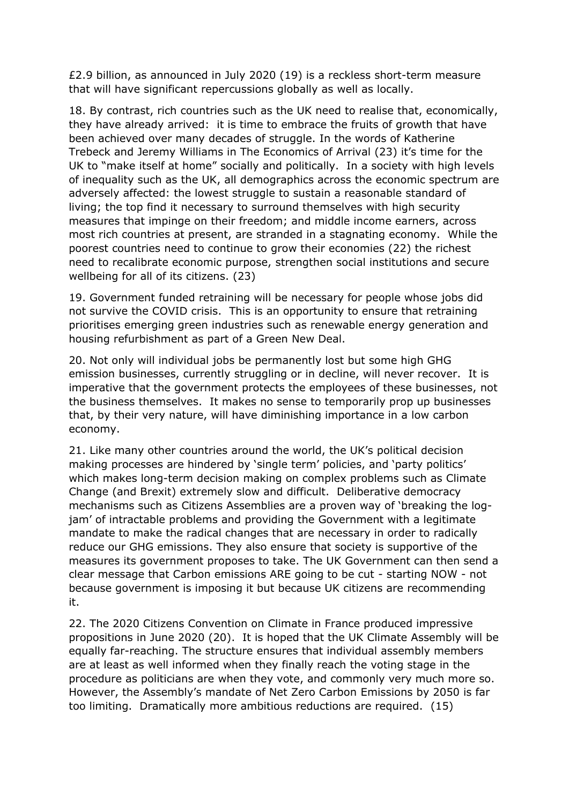£2.9 billion, as announced in July 2020 (19) is a reckless short-term measure that will have significant repercussions globally as well as locally.

18. By contrast, rich countries such as the UK need to realise that, economically, they have already arrived: it is time to embrace the fruits of growth that have been achieved over many decades of struggle. In the words of Katherine Trebeck and Jeremy Williams in The Economics of Arrival (23) it's time for the UK to "make itself at home" socially and politically. In a society with high levels of inequality such as the UK, all demographics across the economic spectrum are adversely affected: the lowest struggle to sustain a reasonable standard of living; the top find it necessary to surround themselves with high security measures that impinge on their freedom; and middle income earners, across most rich countries at present, are stranded in a stagnating economy. While the poorest countries need to continue to grow their economies (22) the richest need to recalibrate economic purpose, strengthen social institutions and secure wellbeing for all of its citizens. (23)

19. Government funded retraining will be necessary for people whose jobs did not survive the COVID crisis. This is an opportunity to ensure that retraining prioritises emerging green industries such as renewable energy generation and housing refurbishment as part of a Green New Deal.

20. Not only will individual jobs be permanently lost but some high GHG emission businesses, currently struggling or in decline, will never recover. It is imperative that the government protects the employees of these businesses, not the business themselves. It makes no sense to temporarily prop up businesses that, by their very nature, will have diminishing importance in a low carbon economy.

21. Like many other countries around the world, the UK's political decision making processes are hindered by 'single term' policies, and 'party politics' which makes long-term decision making on complex problems such as Climate Change (and Brexit) extremely slow and difficult. Deliberative democracy mechanisms such as Citizens Assemblies are a proven way of 'breaking the logjam' of intractable problems and providing the Government with a legitimate mandate to make the radical changes that are necessary in order to radically reduce our GHG emissions. They also ensure that society is supportive of the measures its government proposes to take. The UK Government can then send a clear message that Carbon emissions ARE going to be cut - starting NOW - not because government is imposing it but because UK citizens are recommending it.

22. The 2020 Citizens Convention on Climate in France produced impressive propositions in June 2020 (20). It is hoped that the UK Climate Assembly will be equally far-reaching. The structure ensures that individual assembly members are at least as well informed when they finally reach the voting stage in the procedure as politicians are when they vote, and commonly very much more so. However, the Assembly's mandate of Net Zero Carbon Emissions by 2050 is far too limiting. Dramatically more ambitious reductions are required. (15)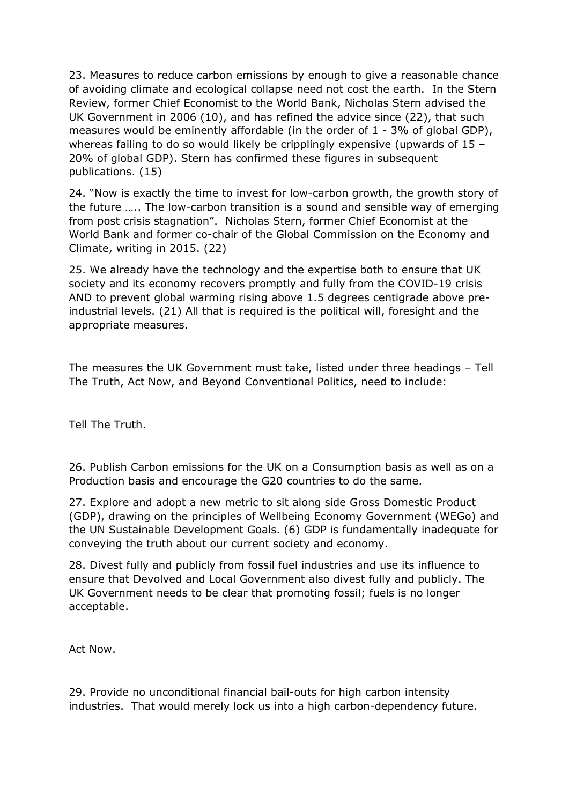23. Measures to reduce carbon emissions by enough to give a reasonable chance of avoiding climate and ecological collapse need not cost the earth. In the Stern Review, former Chief Economist to the World Bank, Nicholas Stern advised the UK Government in 2006 (10), and has refined the advice since (22), that such measures would be eminently affordable (in the order of 1 - 3% of global GDP), whereas failing to do so would likely be cripplingly expensive (upwards of 15 – 20% of global GDP). Stern has confirmed these figures in subsequent publications. (15)

24. "Now is exactly the time to invest for low-carbon growth, the growth story of the future ….. The low-carbon transition is a sound and sensible way of emerging from post crisis stagnation". Nicholas Stern, former Chief Economist at the World Bank and former co-chair of the Global Commission on the Economy and Climate, writing in 2015. (22)

25. We already have the technology and the expertise both to ensure that UK society and its economy recovers promptly and fully from the COVID-19 crisis AND to prevent global warming rising above 1.5 degrees centigrade above preindustrial levels. (21) All that is required is the political will, foresight and the appropriate measures.

The measures the UK Government must take, listed under three headings – Tell The Truth, Act Now, and Beyond Conventional Politics, need to include:

Tell The Truth.

26. Publish Carbon emissions for the UK on a Consumption basis as well as on a Production basis and encourage the G20 countries to do the same.

27. Explore and adopt a new metric to sit along side Gross Domestic Product (GDP), drawing on the principles of Wellbeing Economy Government (WEGo) and the UN Sustainable Development Goals. (6) GDP is fundamentally inadequate for conveying the truth about our current society and economy.

28. Divest fully and publicly from fossil fuel industries and use its influence to ensure that Devolved and Local Government also divest fully and publicly. The UK Government needs to be clear that promoting fossil; fuels is no longer acceptable.

Act Now.

29. Provide no unconditional financial bail-outs for high carbon intensity industries. That would merely lock us into a high carbon-dependency future.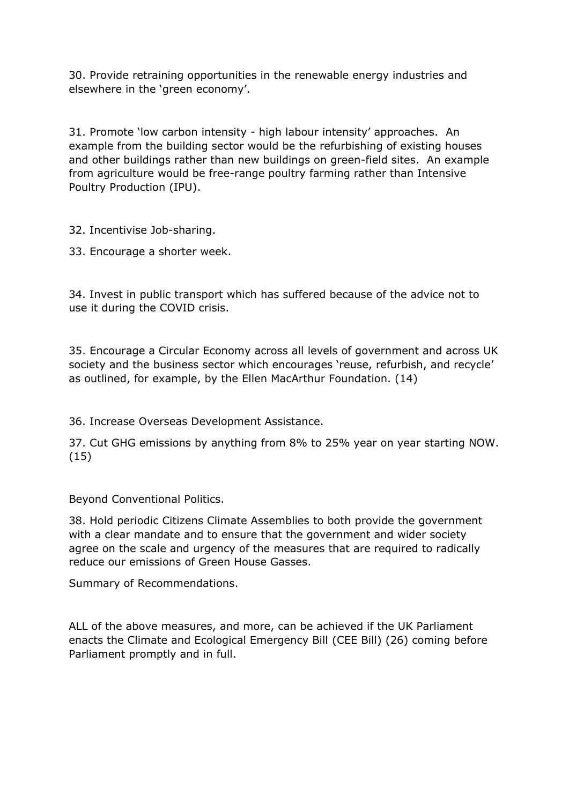30. Provide retraining opportunities in the renewable energy industries and elsewhere in the 'green economy'.

31. Promote 'low carbon intensity - high labour intensity' approaches. An example from the building sector would be the refurbishing of existing houses and other buildings rather than new buildings on green-field sites. An example from agriculture would be free-range poultry farming rather than Intensive Poultry Production (IPU).

32. Incentivise Job-sharing.

33. Encourage a shorter week.

34. Invest in public transport which has suffered because of the advice not to use it during the COVID crisis.

35. Encourage a Circular Economy across all levels of government and across UK society and the business sector which encourages 'reuse, refurbish, and recycle' as outlined, for example, by the Ellen MacArthur Foundation. (14)

36. Increase Overseas Development Assistance.

37. Cut GHG emissions by anything from 8% to 25% year on year starting NOW. (15)

Beyond Conventional Politics.

38. Hold periodic Citizens Climate Assemblies to both provide the government with a clear mandate and to ensure that the government and wider society agree on the scale and urgency of the measures that are required to radically reduce our emissions of Green House Gasses.

Summary of Recommendations.

ALL of the above measures, and more, can be achieved if the UK Parliament enacts the Climate and Ecological Emergency Bill (CEE Bill) (26) coming before Parliament promptly and in full.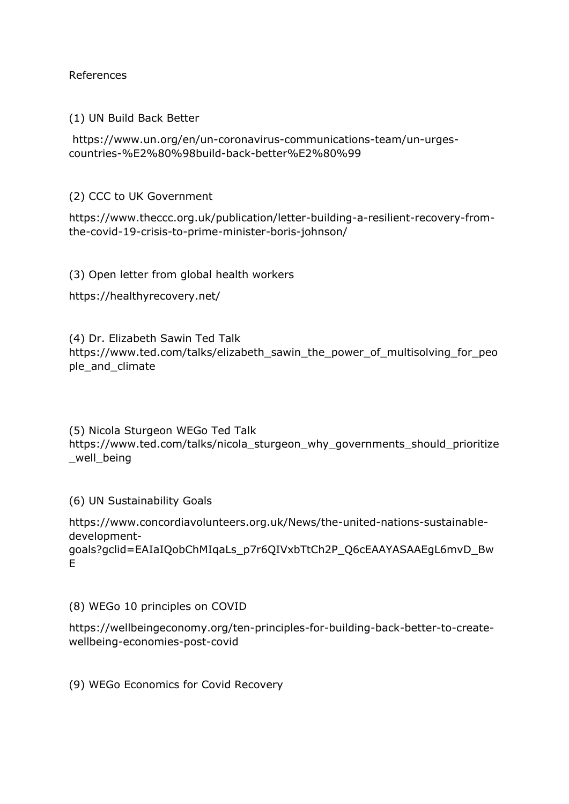References

(1) UN Build Back Better

https://www.un.org/en/un-coronavirus-communications-team/un-urgescountries-%E2%80%98build-back-better%E2%80%99

(2) CCC to UK Government

https://www.theccc.org.uk/publication/letter-building-a-resilient-recovery-fromthe-covid-19-crisis-to-prime-minister-boris-johnson/

(3) Open letter from global health workers

https://healthyrecovery.net/

(4) Dr. Elizabeth Sawin Ted Talk https://www.ted.com/talks/elizabeth\_sawin\_the\_power\_of\_multisolving\_for\_peo ple and climate

(5) Nicola Sturgeon WEGo Ted Talk https://www.ted.com/talks/nicola\_sturgeon\_why\_governments\_should\_prioritize \_well\_being

(6) UN Sustainability Goals

https://www.concordiavolunteers.org.uk/News/the-united-nations-sustainabledevelopmentgoals?gclid=EAIaIQobChMIqaLs\_p7r6QIVxbTtCh2P\_Q6cEAAYASAAEgL6mvD\_Bw E

(8) WEGo 10 principles on COVID

https://wellbeingeconomy.org/ten-principles-for-building-back-better-to-createwellbeing-economies-post-covid

(9) WEGo Economics for Covid Recovery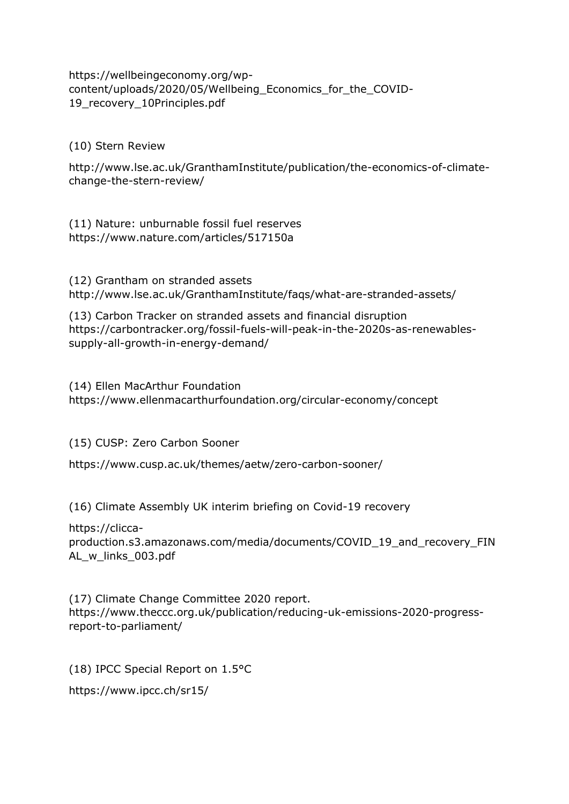https://wellbeingeconomy.org/wpcontent/uploads/2020/05/Wellbeing\_Economics\_for\_the\_COVID-19 recovery 10Principles.pdf

## (10) Stern Review

http://www.lse.ac.uk/GranthamInstitute/publication/the-economics-of-climatechange-the-stern-review/

(11) Nature: unburnable fossil fuel reserves https://www.nature.com/articles/517150a

(12) Grantham on stranded assets http://www.lse.ac.uk/GranthamInstitute/faqs/what-are-stranded-assets/

(13) Carbon Tracker on stranded assets and financial disruption https://carbontracker.org/fossil-fuels-will-peak-in-the-2020s-as-renewablessupply-all-growth-in-energy-demand/

(14) Ellen MacArthur Foundation https://www.ellenmacarthurfoundation.org/circular-economy/concept

(15) CUSP: Zero Carbon Sooner

https://www.cusp.ac.uk/themes/aetw/zero-carbon-sooner/

(16) Climate Assembly UK interim briefing on Covid-19 recovery

https://cliccaproduction.s3.amazonaws.com/media/documents/COVID\_19\_and\_recovery\_FIN AL\_w\_links\_003.pdf

(17) Climate Change Committee 2020 report. https://www.theccc.org.uk/publication/reducing-uk-emissions-2020-progressreport-to-parliament/

(18) IPCC Special Report on 1.5°C

https://www.ipcc.ch/sr15/